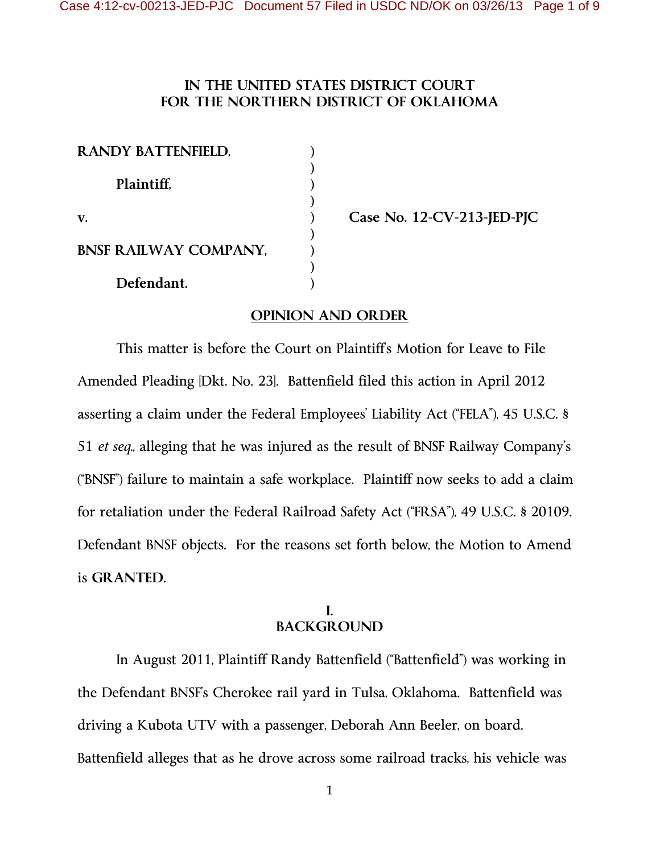### **IN THE UNITED STATES DISTRICT COURT FOR THE NORTHERN DISTRICT OF OKLAHOMA**

| <b>RANDY BATTENFIELD,</b>    |  |
|------------------------------|--|
| Plaintiff,                   |  |
| V.                           |  |
| <b>BNSF RAILWAY COMPANY,</b> |  |
| Defendant.                   |  |

**v. ) Case No. 12-CV-213-JED-PJC** 

### **OPINION AND ORDER**

 This matter is before the Court on Plaintiff's Motion for Leave to File Amended Pleading [Dkt. No. 23]. Battenfield filed this action in April 2012 asserting a claim under the Federal Employees' Liability Act ("FELA"), 45 U.S.C. § 51 *et seq.*, alleging that he was injured as the result of BNSF Railway Company's ("BNSF") failure to maintain a safe workplace. Plaintiff now seeks to add a claim for retaliation under the Federal Railroad Safety Act ("FRSA"), 49 U.S.C. § 20109. Defendant BNSF objects. For the reasons set forth below, the Motion to Amend is **GRANTED**.

#### **I. BACKGROUND**

In August 2011, Plaintiff Randy Battenfield ("Battenfield") was working in the Defendant BNSF's Cherokee rail yard in Tulsa, Oklahoma. Battenfield was driving a Kubota UTV with a passenger, Deborah Ann Beeler, on board. Battenfield alleges that as he drove across some railroad tracks, his vehicle was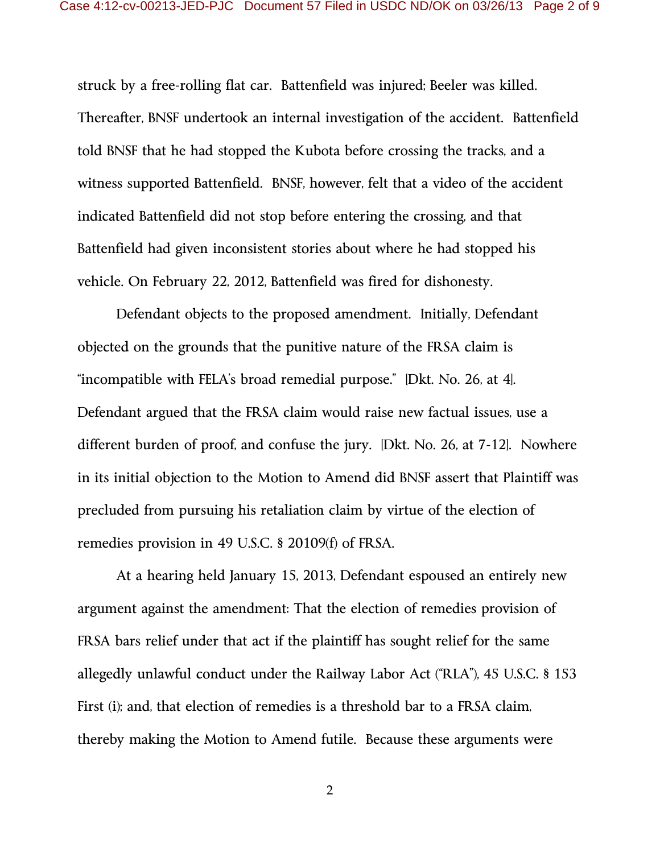struck by a free-rolling flat car. Battenfield was injured; Beeler was killed. Thereafter, BNSF undertook an internal investigation of the accident. Battenfield told BNSF that he had stopped the Kubota before crossing the tracks, and a witness supported Battenfield. BNSF, however, felt that a video of the accident indicated Battenfield did not stop before entering the crossing, and that Battenfield had given inconsistent stories about where he had stopped his vehicle. On February 22, 2012, Battenfield was fired for dishonesty.

Defendant objects to the proposed amendment. Initially, Defendant objected on the grounds that the punitive nature of the FRSA claim is "incompatible with FELA's broad remedial purpose." [Dkt. No. 26, at 4]. Defendant argued that the FRSA claim would raise new factual issues, use a different burden of proof, and confuse the jury. [Dkt. No. 26, at 7-12]. Nowhere in its initial objection to the Motion to Amend did BNSF assert that Plaintiff was precluded from pursuing his retaliation claim by virtue of the election of remedies provision in 49 U.S.C. § 20109(f) of FRSA.

At a hearing held January 15, 2013, Defendant espoused an entirely new argument against the amendment: That the election of remedies provision of FRSA bars relief under that act if the plaintiff has sought relief for the same allegedly unlawful conduct under the Railway Labor Act ("RLA"), 45 U.S.C. § 153 First (i); and, that election of remedies is a threshold bar to a FRSA claim, thereby making the Motion to Amend futile. Because these arguments were

2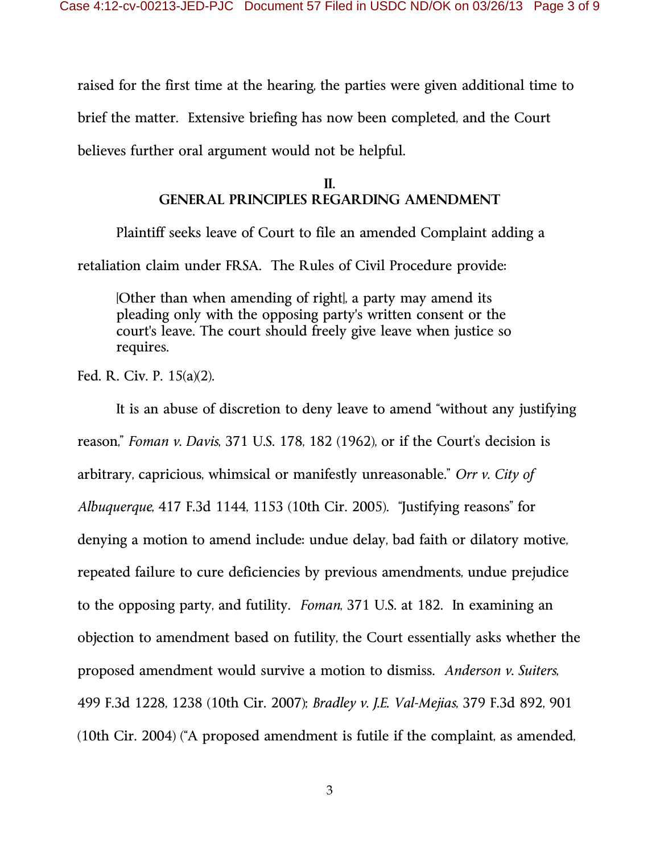raised for the first time at the hearing, the parties were given additional time to brief the matter. Extensive briefing has now been completed, and the Court believes further oral argument would not be helpful.

# **II. GENERAL PRINCIPLES REGARDING AMENDMENT**

 Plaintiff seeks leave of Court to file an amended Complaint adding a retaliation claim under FRSA. The Rules of Civil Procedure provide:

[Other than when amending of right], a party may amend its pleading only with the opposing party's written consent or the court's leave. The court should freely give leave when justice so requires.

Fed. R. Civ. P. 15(a)(2).

 It is an abuse of discretion to deny leave to amend "without any justifying reason," *Foman v. Davis*, 371 U.S. 178, 182 (1962), or if the Court's decision is arbitrary, capricious, whimsical or manifestly unreasonable." *Orr v. City of Albuquerque*, 417 F.3d 1144, 1153 (10th Cir. 2005). "Justifying reasons" for denying a motion to amend include: undue delay, bad faith or dilatory motive, repeated failure to cure deficiencies by previous amendments, undue prejudice to the opposing party, and futility. *Foman*, 371 U.S. at 182. In examining an objection to amendment based on futility, the Court essentially asks whether the proposed amendment would survive a motion to dismiss. *Anderson v. Suiters*, 499 F.3d 1228, 1238 (10th Cir. 2007); *Bradley v. J.E. Val-Mejias*, 379 F.3d 892, 901 (10th Cir. 2004) ("A proposed amendment is futile if the complaint, as amended,

3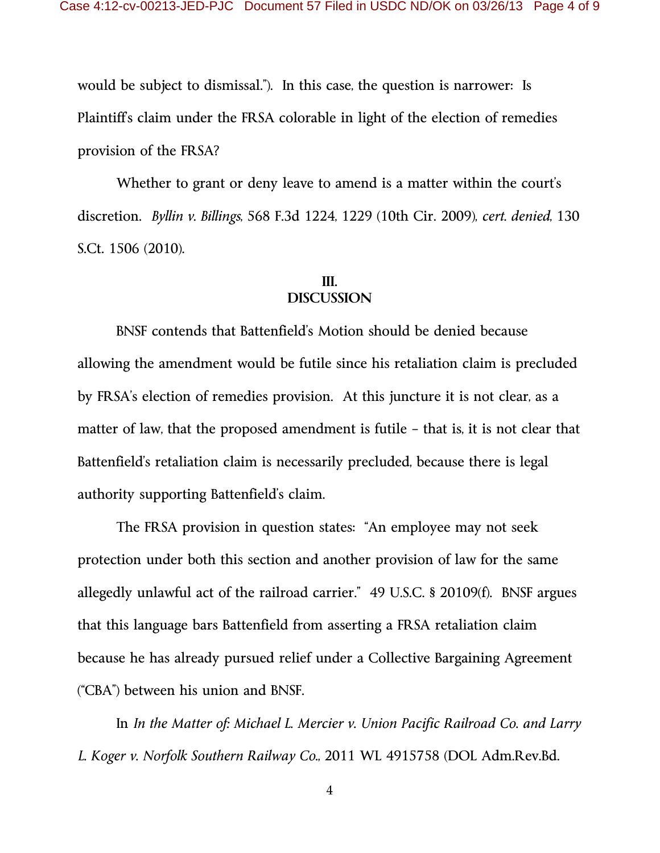would be subject to dismissal."). In this case, the question is narrower: Is Plaintiff's claim under the FRSA colorable in light of the election of remedies provision of the FRSA?

 Whether to grant or deny leave to amend is a matter within the court's discretion. *Byllin v. Billings*, 568 F.3d 1224, 1229 (10th Cir. 2009), *cert. denied*, 130 S.Ct. 1506 (2010).

## **III. DISCUSSION**

 BNSF contends that Battenfield's Motion should be denied because allowing the amendment would be futile since his retaliation claim is precluded by FRSA's election of remedies provision. At this juncture it is not clear, as a matter of law, that the proposed amendment is futile – that is, it is not clear that Battenfield's retaliation claim is necessarily precluded, because there is legal authority supporting Battenfield's claim.

 The FRSA provision in question states: "An employee may not seek protection under both this section and another provision of law for the same allegedly unlawful act of the railroad carrier." 49 U.S.C. § 20109(f). BNSF argues that this language bars Battenfield from asserting a FRSA retaliation claim because he has already pursued relief under a Collective Bargaining Agreement ("CBA") between his union and BNSF.

In *In the Matter of: Michael L. Mercier v. Union Pacific Railroad Co. and Larry L. Koger v. Norfolk Southern Railway Co.*, 2011 WL 4915758 (DOL Adm.Rev.Bd.

4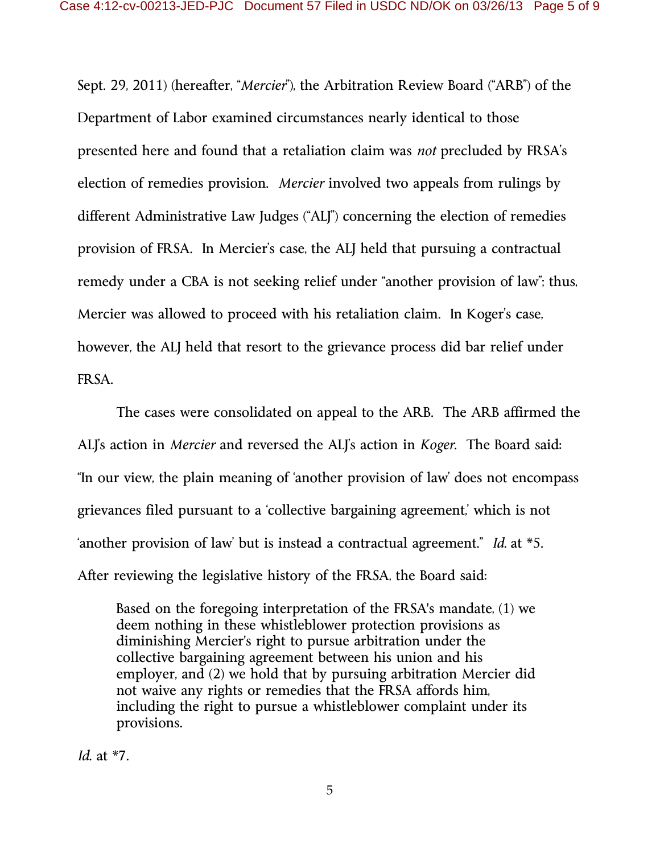Sept. 29, 2011) (hereafter, "*Mercier*"), the Arbitration Review Board ("ARB") of the Department of Labor examined circumstances nearly identical to those presented here and found that a retaliation claim was *not* precluded by FRSA's election of remedies provision. *Mercier* involved two appeals from rulings by different Administrative Law Judges ("ALJ") concerning the election of remedies provision of FRSA. In Mercier's case, the ALJ held that pursuing a contractual remedy under a CBA is not seeking relief under "another provision of law"; thus, Mercier was allowed to proceed with his retaliation claim. In Koger's case, however, the ALJ held that resort to the grievance process did bar relief under FRSA.

The cases were consolidated on appeal to the ARB. The ARB affirmed the ALJ's action in *Mercier* and reversed the ALJ's action in *Koger*. The Board said: "In our view, the plain meaning of 'another provision of law' does not encompass grievances filed pursuant to a 'collective bargaining agreement,' which is not 'another provision of law' but is instead a contractual agreement." *Id.* at \*5. After reviewing the legislative history of the FRSA, the Board said:

Based on the foregoing interpretation of the FRSA's mandate, (1) we deem nothing in these whistleblower protection provisions as diminishing Mercier's right to pursue arbitration under the collective bargaining agreement between his union and his employer, and (2) we hold that by pursuing arbitration Mercier did not waive any rights or remedies that the FRSA affords him, including the right to pursue a whistleblower complaint under its provisions.

*Id.* at \*7.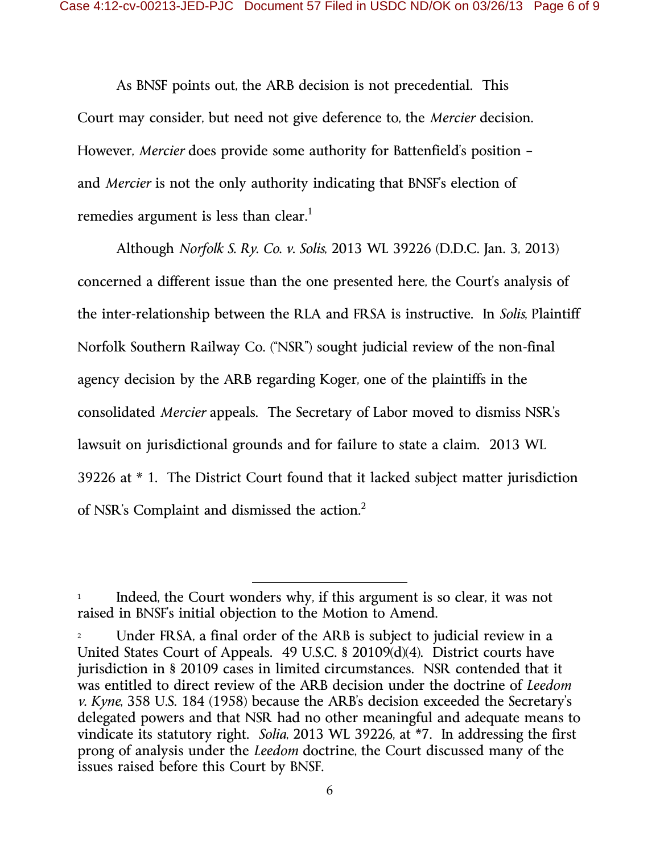As BNSF points out, the ARB decision is not precedential. This Court may consider, but need not give deference to, the *Mercier* decision. However, *Mercier* does provide some authority for Battenfield's position – and *Mercier* is not the only authority indicating that BNSF's election of remedies argument is less than clear.<sup>1</sup>

Although *Norfolk S. Ry. Co. v. Solis*, 2013 WL 39226 (D.D.C. Jan. 3, 2013) concerned a different issue than the one presented here, the Court's analysis of the inter-relationship between the RLA and FRSA is instructive. In *Solis*, Plaintiff Norfolk Southern Railway Co. ("NSR") sought judicial review of the non-final agency decision by the ARB regarding Koger, one of the plaintiffs in the consolidated *Mercier* appeals. The Secretary of Labor moved to dismiss NSR's lawsuit on jurisdictional grounds and for failure to state a claim. 2013 WL 39226 at \* 1. The District Court found that it lacked subject matter jurisdiction of NSR's Complaint and dismissed the action. $2$ 

 $\overline{a}$ 

Indeed, the Court wonders why, if this argument is so clear, it was not raised in BNSF's initial objection to the Motion to Amend.

<sup>2</sup> Under FRSA, a final order of the ARB is subject to judicial review in a United States Court of Appeals. 49 U.S.C. § 20109(d)(4). District courts have jurisdiction in § 20109 cases in limited circumstances. NSR contended that it was entitled to direct review of the ARB decision under the doctrine of *Leedom v. Kyne*, 358 U.S. 184 (1958) because the ARB's decision exceeded the Secretary's delegated powers and that NSR had no other meaningful and adequate means to vindicate its statutory right. *Solia*, 2013 WL 39226, at \*7. In addressing the first prong of analysis under the *Leedom* doctrine, the Court discussed many of the issues raised before this Court by BNSF.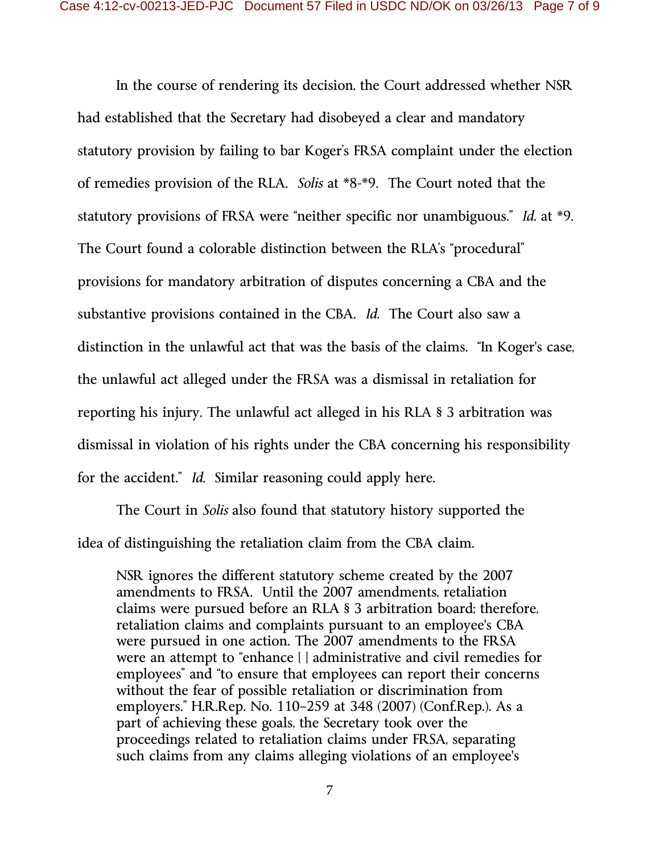In the course of rendering its decision, the Court addressed whether NSR had established that the Secretary had disobeyed a clear and mandatory statutory provision by failing to bar Koger's FRSA complaint under the election of remedies provision of the RLA. *Solis* at \*8-\*9. The Court noted that the statutory provisions of FRSA were "neither specific nor unambiguous." *Id.* at \*9. The Court found a colorable distinction between the RLA's "procedural" provisions for mandatory arbitration of disputes concerning a CBA and the substantive provisions contained in the CBA. *Id.* The Court also saw a distinction in the unlawful act that was the basis of the claims. "In Koger's case, the unlawful act alleged under the FRSA was a dismissal in retaliation for reporting his injury. The unlawful act alleged in his RLA § 3 arbitration was dismissal in violation of his rights under the CBA concerning his responsibility for the accident." *Id.* Similar reasoning could apply here.

The Court in *Solis* also found that statutory history supported the idea of distinguishing the retaliation claim from the CBA claim.

NSR ignores the different statutory scheme created by the 2007 amendments to FRSA. Until the 2007 amendments, retaliation claims were pursued before an RLA § 3 arbitration board; therefore, retaliation claims and complaints pursuant to an employee's CBA were pursued in one action. The 2007 amendments to the FRSA were an attempt to "enhance [ ] administrative and civil remedies for employees" and "to ensure that employees can report their concerns without the fear of possible retaliation or discrimination from employers." H.R.Rep. No. 110–259 at 348 (2007) (Conf.Rep.). As a part of achieving these goals, the Secretary took over the proceedings related to retaliation claims under FRSA, separating such claims from any claims alleging violations of an employee's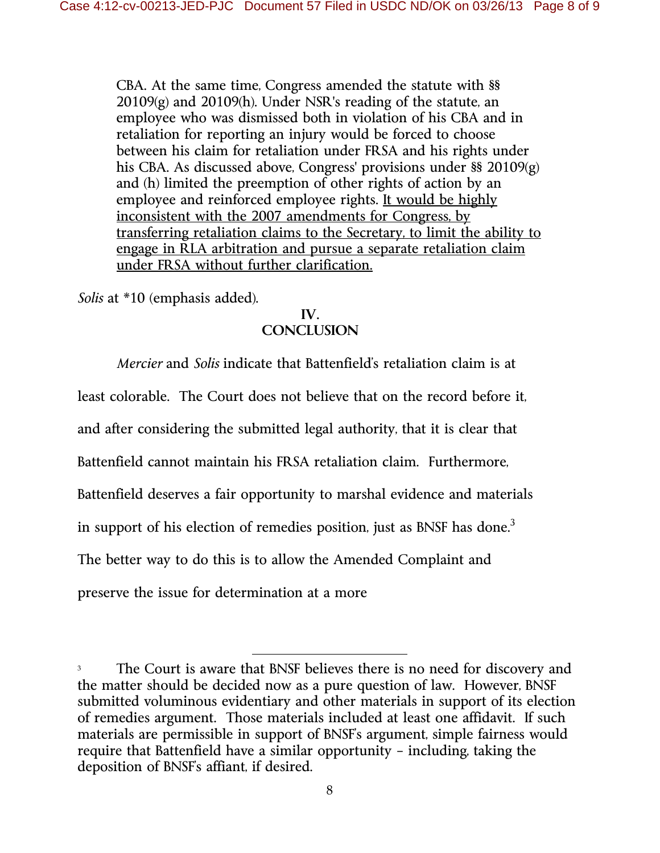CBA. At the same time, Congress amended the statute with §§ 20109(g) and 20109(h). Under NSR's reading of the statute, an employee who was dismissed both in violation of his CBA and in retaliation for reporting an injury would be forced to choose between his claim for retaliation under FRSA and his rights under his CBA. As discussed above, Congress' provisions under §§ 20109(g) and (h) limited the preemption of other rights of action by an employee and reinforced employee rights. It would be highly inconsistent with the 2007 amendments for Congress, by transferring retaliation claims to the Secretary, to limit the ability to engage in RLA arbitration and pursue a separate retaliation claim under FRSA without further clarification.

*Solis* at \*10 (emphasis added).

#### **IV. CONCLUSION**

*Mercier* and *Solis* indicate that Battenfield's retaliation claim is at

least colorable. The Court does not believe that on the record before it,

and after considering the submitted legal authority, that it is clear that

Battenfield cannot maintain his FRSA retaliation claim. Furthermore,

Battenfield deserves a fair opportunity to marshal evidence and materials

in support of his election of remedies position, just as BNSF has done.<sup>3</sup>

The better way to do this is to allow the Amended Complaint and

preserve the issue for determination at a more

-

The Court is aware that BNSF believes there is no need for discovery and the matter should be decided now as a pure question of law. However, BNSF submitted voluminous evidentiary and other materials in support of its election of remedies argument. Those materials included at least one affidavit. If such materials are permissible in support of BNSF's argument, simple fairness would require that Battenfield have a similar opportunity – including, taking the deposition of BNSF's affiant, if desired.